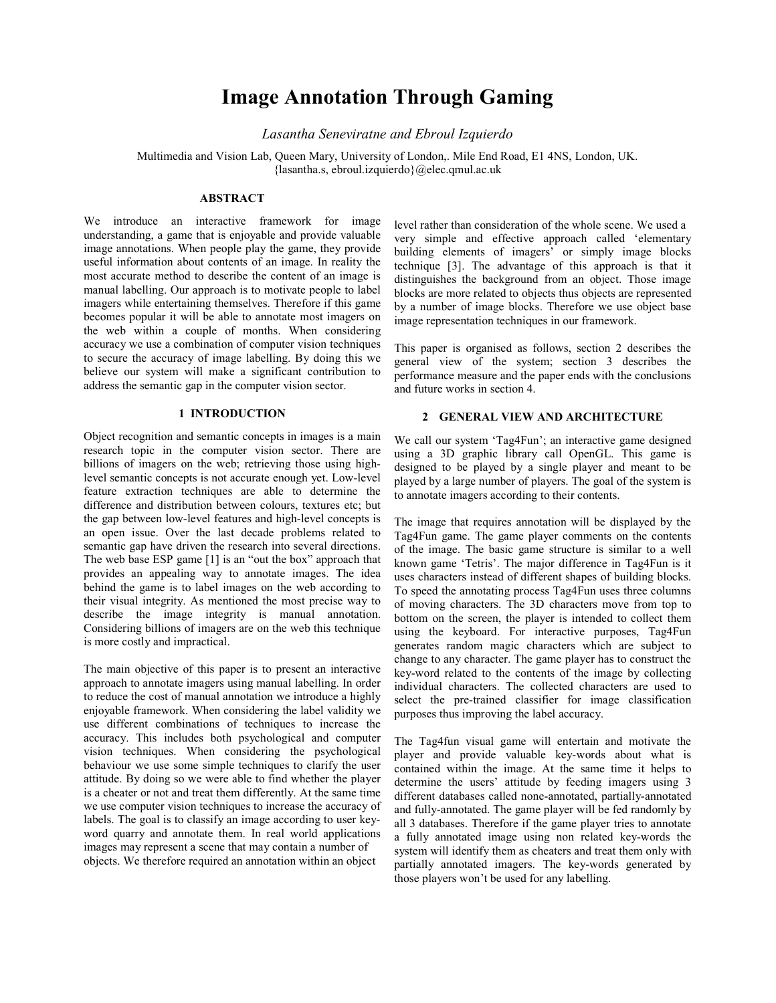# Image Annotation Through Gaming

Lasantha Seneviratne and Ebroul Izquierdo

Multimedia and Vision Lab, Queen Mary, University of London,. Mile End Road, E1 4NS, London, UK. {lasantha.s, ebroul.izquierdo}@elec.qmul.ac.uk

## ABSTRACT

We introduce an interactive framework for image understanding, a game that is enjoyable and provide valuable image annotations. When people play the game, they provide useful information about contents of an image. In reality the most accurate method to describe the content of an image is manual labelling. Our approach is to motivate people to label imagers while entertaining themselves. Therefore if this game becomes popular it will be able to annotate most imagers on the web within a couple of months. When considering accuracy we use a combination of computer vision techniques to secure the accuracy of image labelling. By doing this we believe our system will make a significant contribution to address the semantic gap in the computer vision sector.

## 1 INTRODUCTION

Object recognition and semantic concepts in images is a main research topic in the computer vision sector. There are billions of imagers on the web; retrieving those using highlevel semantic concepts is not accurate enough yet. Low-level feature extraction techniques are able to determine the difference and distribution between colours, textures etc; but the gap between low-level features and high-level concepts is an open issue. Over the last decade problems related to semantic gap have driven the research into several directions. The web base ESP game [1] is an "out the box" approach that provides an appealing way to annotate images. The idea behind the game is to label images on the web according to their visual integrity. As mentioned the most precise way to describe the image integrity is manual annotation. Considering billions of imagers are on the web this technique is more costly and impractical.

The main objective of this paper is to present an interactive approach to annotate imagers using manual labelling. In order to reduce the cost of manual annotation we introduce a highly enjoyable framework. When considering the label validity we use different combinations of techniques to increase the accuracy. This includes both psychological and computer vision techniques. When considering the psychological behaviour we use some simple techniques to clarify the user attitude. By doing so we were able to find whether the player is a cheater or not and treat them differently. At the same time we use computer vision techniques to increase the accuracy of labels. The goal is to classify an image according to user keyword quarry and annotate them. In real world applications images may represent a scene that may contain a number of objects. We therefore required an annotation within an object

level rather than consideration of the whole scene. We used a very simple and effective approach called 'elementary building elements of imagers' or simply image blocks technique [3]. The advantage of this approach is that it distinguishes the background from an object. Those image blocks are more related to objects thus objects are represented by a number of image blocks. Therefore we use object base image representation techniques in our framework.

This paper is organised as follows, section 2 describes the general view of the system; section 3 describes the performance measure and the paper ends with the conclusions and future works in section 4.

# 2 GENERAL VIEW AND ARCHITECTURE

We call our system 'Tag4Fun'; an interactive game designed using a 3D graphic library call OpenGL. This game is designed to be played by a single player and meant to be played by a large number of players. The goal of the system is to annotate imagers according to their contents.

The image that requires annotation will be displayed by the Tag4Fun game. The game player comments on the contents of the image. The basic game structure is similar to a well known game 'Tetris'. The major difference in Tag4Fun is it uses characters instead of different shapes of building blocks. To speed the annotating process Tag4Fun uses three columns of moving characters. The 3D characters move from top to bottom on the screen, the player is intended to collect them using the keyboard. For interactive purposes, Tag4Fun generates random magic characters which are subject to change to any character. The game player has to construct the key-word related to the contents of the image by collecting individual characters. The collected characters are used to select the pre-trained classifier for image classification purposes thus improving the label accuracy.

The Tag4fun visual game will entertain and motivate the player and provide valuable key-words about what is contained within the image. At the same time it helps to determine the users' attitude by feeding imagers using 3 different databases called none-annotated, partially-annotated and fully-annotated. The game player will be fed randomly by all 3 databases. Therefore if the game player tries to annotate a fully annotated image using non related key-words the system will identify them as cheaters and treat them only with partially annotated imagers. The key-words generated by those players won't be used for any labelling.